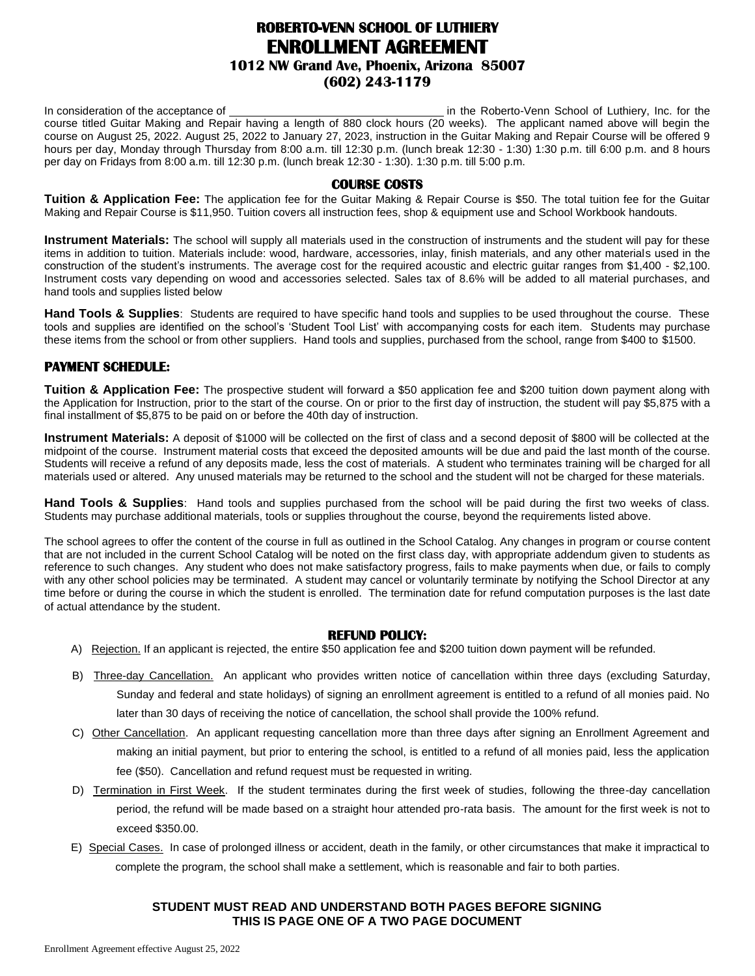# **ROBERTO-VENN SCHOOL OF LUTHIERY ENROLLMENT AGREEMENT 1012 NW Grand Ave, Phoenix, Arizona 85007 (602) 243-1179**

In consideration of the acceptance of in the interval of the Roberto-Venn School of Luthiery, Inc. for the course titled Guitar Making and Repair having a length of 880 clock hours (20 weeks). The applicant named above will begin the course on August 25, 2022. August 25, 2022 to January 27, 2023, instruction in the Guitar Making and Repair Course will be offered 9 hours per day, Monday through Thursday from 8:00 a.m. till 12:30 p.m. (lunch break 12:30 - 1:30) 1:30 p.m. till 6:00 p.m. and 8 hours per day on Fridays from 8:00 a.m. till 12:30 p.m. (lunch break 12:30 - 1:30). 1:30 p.m. till 5:00 p.m.

# **COURSE COSTS**

**Tuition & Application Fee:** The application fee for the Guitar Making & Repair Course is \$50. The total tuition fee for the Guitar Making and Repair Course is \$11,950. Tuition covers all instruction fees, shop & equipment use and School Workbook handouts.

**Instrument Materials:** The school will supply all materials used in the construction of instruments and the student will pay for these items in addition to tuition. Materials include: wood, hardware, accessories, inlay, finish materials, and any other materials used in the construction of the student's instruments. The average cost for the required acoustic and electric guitar ranges from \$1,400 - \$2,100. Instrument costs vary depending on wood and accessories selected. Sales tax of 8.6% will be added to all material purchases, and hand tools and supplies listed below

**Hand Tools & Supplies**: Students are required to have specific hand tools and supplies to be used throughout the course. These tools and supplies are identified on the school's 'Student Tool List' with accompanying costs for each item. Students may purchase these items from the school or from other suppliers. Hand tools and supplies, purchased from the school, range from \$400 to \$1500.

# **PAYMENT SCHEDULE:**

**Tuition & Application Fee:** The prospective student will forward a \$50 application fee and \$200 tuition down payment along with the Application for Instruction, prior to the start of the course. On or prior to the first day of instruction, the student will pay \$5,875 with a final installment of \$5,875 to be paid on or before the 40th day of instruction.

**Instrument Materials:** A deposit of \$1000 will be collected on the first of class and a second deposit of \$800 will be collected at the midpoint of the course. Instrument material costs that exceed the deposited amounts will be due and paid the last month of the course. Students will receive a refund of any deposits made, less the cost of materials. A student who terminates training will be charged for all materials used or altered. Any unused materials may be returned to the school and the student will not be charged for these materials.

**Hand Tools & Supplies**: Hand tools and supplies purchased from the school will be paid during the first two weeks of class. Students may purchase additional materials, tools or supplies throughout the course, beyond the requirements listed above.

The school agrees to offer the content of the course in full as outlined in the School Catalog. Any changes in program or course content that are not included in the current School Catalog will be noted on the first class day, with appropriate addendum given to students as reference to such changes. Any student who does not make satisfactory progress, fails to make payments when due, or fails to comply with any other school policies may be terminated. A student may cancel or voluntarily terminate by notifying the School Director at any time before or during the course in which the student is enrolled. The termination date for refund computation purposes is the last date of actual attendance by the student.

#### **REFUND POLICY:**

- A) Rejection. If an applicant is rejected, the entire \$50 application fee and \$200 tuition down payment will be refunded.
- B) Three-day Cancellation. An applicant who provides written notice of cancellation within three days (excluding Saturday, Sunday and federal and state holidays) of signing an enrollment agreement is entitled to a refund of all monies paid. No later than 30 days of receiving the notice of cancellation, the school shall provide the 100% refund.
- C) Other Cancellation. An applicant requesting cancellation more than three days after signing an Enrollment Agreement and making an initial payment, but prior to entering the school, is entitled to a refund of all monies paid, less the application fee (\$50). Cancellation and refund request must be requested in writing.
- D) Termination in First Week. If the student terminates during the first week of studies, following the three-day cancellation period, the refund will be made based on a straight hour attended pro-rata basis. The amount for the first week is not to exceed \$350.00.
- E) Special Cases. In case of prolonged illness or accident, death in the family, or other circumstances that make it impractical to complete the program, the school shall make a settlement, which is reasonable and fair to both parties.

## **STUDENT MUST READ AND UNDERSTAND BOTH PAGES BEFORE SIGNING THIS IS PAGE ONE OF A TWO PAGE DOCUMENT**